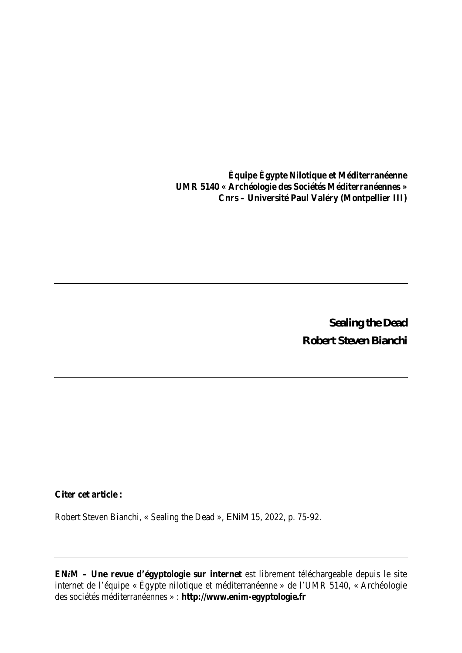**Équipe Égypte Nilotique et Méditerranéenne UMR 5140 « Archéologie des Sociétés Méditerranéennes » Cnrs – Université Paul Valéry (Montpellier III)**

> **Sealing the Dead Robert Steven Bianchi**

**Citer cet article :**

Robert Steven Bianchi, « Sealing the Dead », *ENiM* 15, 2022, p. 75-92.

**EN***i***M – Une revue d'égyptologie sur internet** est librement téléchargeable depuis le site internet de l'équipe « Égypte nilotique et méditerranéenne » de l'UMR 5140, « Archéologie des sociétés méditerranéennes » : **http://www.enim-egyptologie.fr**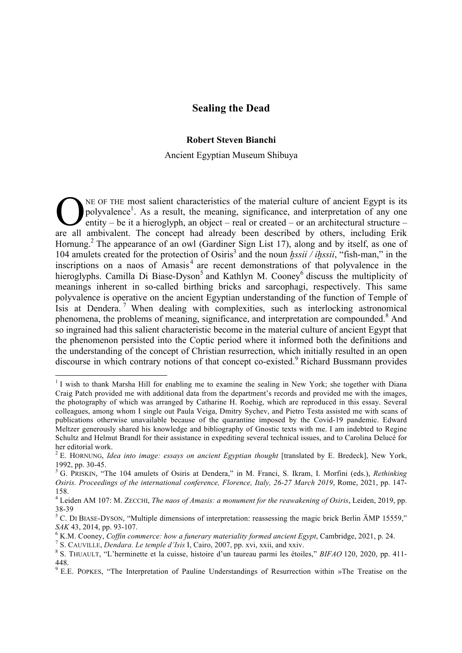# **Sealing the Dead**

## **Robert Steven Bianchi**

#### Ancient Egyptian Museum Shibuya

NE OF THE most salient characteristics of the material culture of ancient Egypt is its polyvalence<sup>1</sup>. As a result, the meaning, significance, and interpretation of any one entity – be it a hieroglyph, an object – real or created – or an architectural structure – THE most salient characteristics of the material culture of ancient Egypt is its polyvalence<sup>1</sup>. As a result, the meaning, significance, and interpretation of any one entity – be it a hieroglyph, an object – real or create Hornung.<sup>2</sup> The appearance of an owl (Gardiner Sign List 17), along and by itself, as one of 104 amulets created for the protection of Osiris<sup>3</sup> and the noun *hssil* / *ihssil*, "fish-man," in the inscriptions on a naos of  $\overline{A}$ masis<sup>4</sup> are recent demonstrations of that polyvalence in the hieroglyphs. Camilla Di Biase-Dyson<sup>5</sup> and Kathlyn M. Cooney<sup>6</sup> discuss the multiplicity of meanings inherent in so-called birthing bricks and sarcophagi, respectively. This same polyvalence is operative on the ancient Egyptian understanding of the function of Temple of Isis at Dendera.<sup>7</sup> When dealing with complexities, such as interlocking astronomical phenomena, the problems of meaning, significance, and interpretation are compounded.<sup>8</sup> And so ingrained had this salient characteristic become in the material culture of ancient Egypt that the phenomenon persisted into the Coptic period where it informed both the definitions and the understanding of the concept of Christian resurrection, which initially resulted in an open discourse in which contrary notions of that concept co-existed.<sup>9</sup> Richard Bussmann provides

<sup>&</sup>lt;sup>1</sup> I wish to thank Marsha Hill for enabling me to examine the sealing in New York; she together with Diana Craig Patch provided me with additional data from the department's records and provided me with the images, the photography of which was arranged by Catharine H. Roehig, which are reproduced in this essay. Several colleagues, among whom I single out Paula Veiga, Dmitry Sychev, and Pietro Testa assisted me with scans of publications otherwise unavailable because of the quarantine imposed by the Cοvid-19 pandemic. Edward Meltzer generously shared his knowledge and bibliography of Gnostic texts with me. I am indebted to Regine Schultz and Helmut Brandl for their assistance in expediting several technical issues, and to Carolina Delucé for her editorial work. <sup>2</sup> E. HORNUNG, *Idea into image: essays on ancient Egyptian thought* [translated by E. Bredeck], New York,

<sup>1992,</sup> pp. 30-45. <sup>3</sup> G. PRISKIN, "The <sup>104</sup> amulets of Osiris at Dendera," in M. Franci, S. Ikram, I. Morfini (eds.), *Rethinking*

*Osiris. Proceedings of the international conference, Florence, Italy, 26-27 March 2019*, Rome, 2021, pp. 147- 158.

<sup>4</sup> Leiden AM 107: M. ZECCHI, *The naos of Amasis: a monument for the reawakening of Osiris*, Leiden, 2019, pp.

<sup>38-39&</sup>lt;br><sup>5</sup> C. DI BIASE-DYSON, "Multiple dimensions of interpretation: reassessing the magic brick Berlin ÄMP 15559," SAK 43, 2014, pp. 93-107.<br>
<sup>6</sup> K.M. Cooney, *Coffin commerce: how a funerary materiality formed ancient Egypt*, Cambridge, 2021, p. 24.<br>
<sup>7</sup> S. CAUVILLE, *Dendara. Le temple d'Isis* I, Cairo, 2007, pp. xvi, xxii, and xxiv

<sup>448.</sup>

<sup>9</sup> E.E. POPKES, "The Interpretation of Pauline Understandings of Resurrection within »The Treatise on the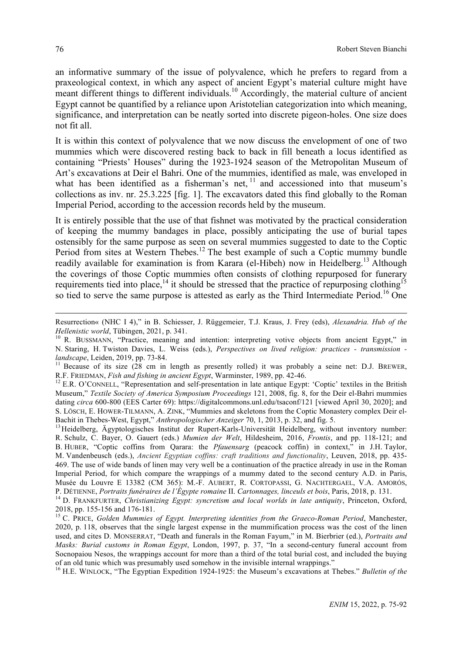an informative summary of the issue of polyvalence, which he prefers to regard from a praxeological context, in which any aspect of ancient Egypt's material culture might have meant different things to different individuals.<sup>10</sup> Accordingly, the material culture of ancient Egypt cannot be quantified by a reliance upon Aristotelian categorization into which meaning, significance, and interpretation can be neatly sorted into discrete pigeon-holes. One size does not fit all.

It is within this context of polyvalence that we now discuss the envelopment of one of two mummies which were discovered resting back to back in fill beneath a locus identified as containing "Priests' Houses" during the 1923-1924 season of the Metropolitan Museum of Art's excavations at Deir el Bahri. One of the mummies, identified as male, was enveloped in what has been identified as a fisherman's net,  $11$  and accessioned into that museum's collections as inv. nr. 25.3.225 [fig. 1]. The excavators dated this find globally to the Roman Imperial Period, according to the accession records held by the museum.

It is entirely possible that the use of that fishnet was motivated by the practical consideration of keeping the mummy bandages in place, possibly anticipating the use of burial tapes ostensibly for the same purpose as seen on several mummies suggested to date to the Coptic Period from sites at Western Thebes.<sup>12</sup> The best example of such a Coptic mummy bundle readily available for examination is from Karara (el-Hibeh) now in Heidelberg.<sup>13</sup> Although the coverings of those Coptic mummies often consists of clothing repurposed for funerary requirements tied into place,<sup>14</sup> it should be stressed that the practice of repurposing clothing<sup>15</sup> so tied to serve the same purpose is attested as early as the Third Intermediate Period.<sup>16</sup> One

<sup>16</sup> H.E. WINLOCK, "The Egyptian Expedition 1924-1925: the Museum's excavations at Thebes." *Bulletin of the* 

 $\overline{a}$ 

Resurrection« (NHC I 4)," in B. Schiesser, J. Rüggemeier, T.J. Kraus, J. Frey (eds), *Alexandria. Hub of the*

*Hellenistic world*, Tübingen, 2021, p. 341.<br><sup>10</sup> R. BUSSMANN, "Practice, meaning and intention: interpreting votive objects from ancient Egypt," in N. Staring, H. Twiston Davies, L. Weiss (eds.), *Perspectives on lived religion: practices - transmission landscape*, Leiden, 2019, pp. 73-84.<br><sup>11</sup> Because of its size (28 cm in length as presently rolled) it was probably a seine net: D.J. BREWER,

R.F. FRIEDMAN, *Fish and fishing in ancient Egypt*, Warminster, 1989, pp. 42-46.<br><sup>12</sup> E.R. O'CONNELL, "Representation and self-presentation in late antique Egypt: 'Coptic' textiles in the British

Museum," *Textile Society of America Symposium Proceedings* 121, 2008, fig. 8, for the Deir el-Bahri mummies dating *circa* 600-800 (EES Carter 69): https://digitalcommons.unl.edu/tsaconf/121 [viewed April 30, 2020]; and S. LÖSCH, E. HOWER-TILMANN, A. ZINK, "Mummies and skeletons from the Coptic Monastery complex Deir el-Bachit in Thebes-West, Egypt," *Anthropologischer Anzeiger* 70, 1, 2013, p. 32, and fig. 5.<br><sup>13</sup>Heidelberg, Ägyptologisches Institut der Rupert-Karls-Universität Heidelberg, without inventory number:

R. Schulz, C. Bayer, O. Gauert (eds.) *Mumien der Welt*, Hildesheim, 2016, *Frontis*, and pp. 118-121; and B. HUBER, "Coptic coffins from Qarara: the *Pfauensarg* (peacock coffin) in context," in J.H. Taylor, M. Vandenbeusch (eds.), *Ancient Egyptian coffins: craft traditions and functionality*, Leuven, 2018, pp. 435- 469. The use of wide bands of linen may very well be a continuation of the practice already in use in the Roman Imperial Period, for which compare the wrappings of a mummy dated to the second century A.D. in Paris, Musée du Louvre E 13382 (CM 365): M.-F. AUBERT, R. CORTOPASSI, G. NACHTERGAEL, V.A. AMORÓS,

P. DÉTIENNE, *Portraits funéraires de l'Égypte romaine* II. Cartonnages, linceuls et bois, Paris, 2018, p. 131.<br><sup>14</sup> D. FRANKFURTER, *Christianizing Egypt: syncretism and local worlds in late antiquity*, Princeton, Oxford,

<sup>2018,</sup> pp. 155-156 and 176-181. <sup>15</sup> C. PRICE, *Golden Mummies of Egypt. Interpreting identities from the Graeco-Roman Period*, Manchester, 2020, p. 118, observes that the single largest expense in the mummification process was the cost of the linen used, and cites D. MONSERRAT, "Death and funerals in the Roman Fayum," in M. Bierbrier (ed.), *Portraits and Masks: Burial customs in Roman Egypt*, London, 1997, p. 37, "In a second-century funeral account from Socnopaiou Nesos, the wrappings account for more than a third of the total burial cost, and included the buying of an old tunic which was presumably used somehow in the invisible internal wrappings."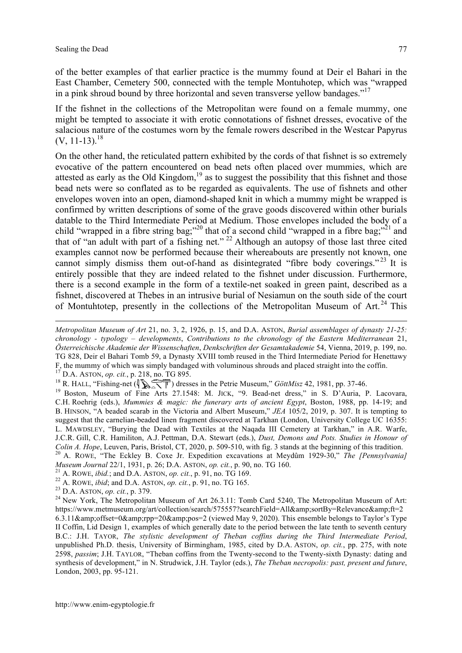$\overline{a}$ 

of the better examples of that earlier practice is the mummy found at Deir el Bahari in the East Chamber, Cemetery 500, connected with the temple Montuhotep, which was "wrapped in a pink shroud bound by three horizontal and seven transverse yellow bandages."17

If the fishnet in the collections of the Metropolitan were found on a female mummy, one might be tempted to associate it with erotic connotations of fishnet dresses, evocative of the salacious nature of the costumes worn by the female rowers described in the Westcar Papyrus  $(V, 11-13)^{18}$ 

On the other hand, the reticulated pattern exhibited by the cords of that fishnet is so extremely evocative of the pattern encountered on bead nets often placed over mummies, which are attested as early as the Old Kingdom,<sup>19</sup> as to suggest the possibility that this fishnet and those bead nets were so conflated as to be regarded as equivalents. The use of fishnets and other envelopes woven into an open, diamond-shaped knit in which a mummy might be wrapped is confirmed by written descriptions of some of the grave goods discovered within other burials datable to the Third Intermediate Period at Medium. Those envelopes included the body of a child "wrapped in a fibre string bag;"<sup>20</sup> that of a second child "wrapped in a fibre bag;"<sup>21</sup> and that of "an adult with part of a fishing net." <sup>22</sup> Although an autopsy of those last three cited examples cannot now be performed because their whereabouts are presently not known, one cannot simply dismiss them out-of-hand as disintegrated "fibre body coverings."<sup>23</sup> It is entirely possible that they are indeed related to the fishnet under discussion. Furthermore, there is a second example in the form of a textile-net soaked in green paint, described as a fishnet, discovered at Thebes in an intrusive burial of Nesiamun on the south side of the court of Montuhtotep, presently in the collections of the Metropolitan Museum of Art.<sup>24</sup> This

*Metropolitan Museum of Art* 21, no. 3, 2, 1926, p. 15, and D.A. ASTON, *Burial assemblages of dynasty 21-25: chronology - typology – developments*, *Contributions to the chronology of the Eastern Mediterranean* 21, *Österreichische Akademie der Wissenschaften*, *Denkschriften der Gesamtakademie* 54, Vienna, 2019, p. 199, no. TG 828, Deir el Bahari Tomb 59, a Dynasty XVIII tomb reused in the Third Intermediate Period for Henettawy F, the mummy of which was simply bandaged with voluminous shrouds and placed straight into the coffin. <sup>17</sup> D.A. ASTON, *op. cit.*, p. 218, no. TG 895.

<sup>&</sup>lt;sup>18</sup> R. HALL, "Fishing-net  $(\sqrt{\}$   $\sqrt{\sqrt{\pi}})$  dresses in the Petrie Museum," *GöttMisz* 42, 1981, pp. 37-46.

<sup>&</sup>lt;sup>19</sup> Boston, Museum of Fine Arts 27.1548: M. JICK, "9. Bead-net dress," in S. D'Auria, P. Lacovara, C.H. Roehrig (eds.), *Mummies & magic: the funerary arts of ancient Egypt*, Boston, 1988, pp. 14-19; and B. HINSON, "A beaded scarab in the Victoria and Albert Museum," *JEA* 105/2, 2019, p. 307. It is tempting to suggest that the carnelian-beaded linen fragment discovered at Tarkhan (London, University College UC 16355: L. MAWDSLEY, "Burying the Dead with Textiles at the Naqada III Cemetery at Tarkhan," in A.R. Warfe, J.C.R. Gill, C.R. Hamiliton, A.J. Pettman, D.A. Stewart (eds.), *Dust, Demons and Pots. Studies in Honour of* Colin A. Hope, Leuven, Paris, Bristol, CT, 2020, p. 509-510, with fig. 3 stands at the beginning of this tradition.<br><sup>20</sup> A. ROWE, "The Eckley B. Coxe Jr. Expedition excavations at Meydûm 1929-30," The [Pennsylvania] Museu

<sup>&</sup>lt;sup>21</sup> A. Rowe, *ibid*; and D.A. ASTON, *op. cit.*, p. 91, no. TG 169.<br><sup>22</sup> A. Rowe, *ibid*; and D.A. ASTON, *op. cit.*, p. 91, no. TG 165.<br><sup>23</sup> D.A. ASTON, *op. cit.*, p. 379.<br><sup>24</sup> New York, The Metropolitan Museum of Art https://www.metmuseum.org/art/collection/search/575557?searchField=All&amp:sortBy=Relevance&amp:ft=2 6.3.11&offset=0&rpp=20&pos=2 (viewed May 9, 2020). This ensemble belongs to Taylor's Type II Coffin, Lid Design 1, examples of which generally date to the period between the late tenth to seventh century B.C.: J.H. TAYOR, *The stylistic development of Theban coffins during the Third Intermediate Period*, unpublished Ph.D. thesis, University of Birmingham, 1985, cited by D.A. ASTON, *op. cit.*, pp. 275, with note 2598, *passim*; J.H. TAYLOR, "Theban coffins from the Twenty-second to the Twenty-sixth Dynasty: dating and synthesis of development," in N. Strudwick, J.H. Taylor (eds.), *The Theban necropolis: past, present and future*, London, 2003, pp. 95-121.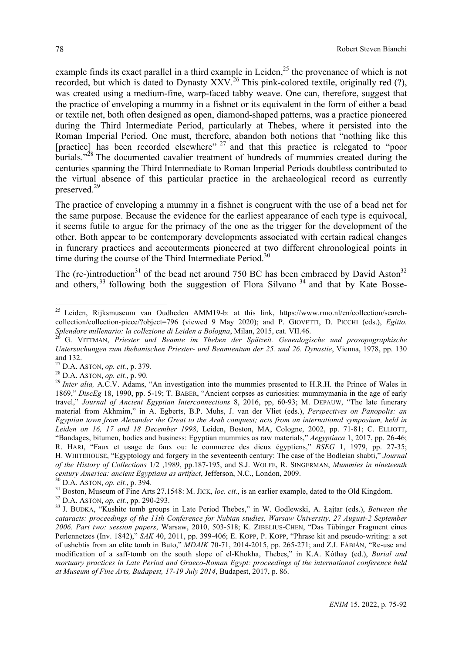example finds its exact parallel in a third example in Leiden,<sup>25</sup> the provenance of which is not recorded, but which is dated to Dynasty  $XXV<sup>26</sup>$  This pink-colored textile, originally red (?), was created using a medium-fine, warp-faced tabby weave. One can, therefore, suggest that the practice of enveloping a mummy in a fishnet or its equivalent in the form of either a bead or textile net, both often designed as open, diamond-shaped patterns, was a practice pioneered during the Third Intermediate Period, particularly at Thebes, where it persisted into the Roman Imperial Period. One must, therefore, abandon both notions that "nothing like this [practice] has been recorded elsewhere" <sup>27</sup> and that this practice is relegated to "poor burials."<sup>28</sup> The documented cavalier treatment of hundreds of mummies created during the centuries spanning the Third Intermediate to Roman Imperial Periods doubtless contributed to the virtual absence of this particular practice in the archaeological record as currently preserved.<sup>29</sup>

The practice of enveloping a mummy in a fishnet is congruent with the use of a bead net for the same purpose. Because the evidence for the earliest appearance of each type is equivocal, it seems futile to argue for the primacy of the one as the trigger for the development of the other. Both appear to be contemporary developments associated with certain radical changes in funerary practices and accouterments pioneered at two different chronological points in time during the course of the Third Intermediate Period.<sup>30</sup>

The (re-)introduction<sup>31</sup> of the bead net around 750 BC has been embraced by David Aston<sup>32</sup> and others,  $33$  following both the suggestion of Flora Silvano  $34$  and that by Kate Bosse-

<sup>&</sup>lt;sup>25</sup> Leiden, Rijksmuseum van Oudheden AMM19-b: at this link, https://www.rmo.nl/en/collection/searchcollection/collection-piece/?object=796 (viewed 9 May 2020); and P. GIOVETTI, D. PICCHI (eds.), *Egitto.*

G. VITTMAN, Priester und Beamte im Theben der Spätzeit. Genealogische und prosopographische *Untersuchungen zum thebanischen Priester- und Beamtentum der 25. und 26. Dynastie*, Vienna, 1978, pp. 130 27 D.A. ASTON, *op. cit.*, p. 379.<br><sup>28</sup> D.A. ASTON, *op. cit.*, p. 90.<br><sup>28</sup> *Inter alia,* A.C.V. Adams, "An investigation into the mummies presented to H.R.H. the Prince of Wales in

<sup>1869,&</sup>quot; *DiscEg* 18, 1990, pp. 5-19; T. BABER, "Ancient corpses as curiosities: mummymania in the age of early travel," *Journal of Ancient Egyptian Interconnections* 8, 2016, pp, 60-93; M. DEPAUW, "The late funerary material from Akhmim," in A. Egberts, B.P. Muhs, J. van der Vliet (eds.), *Perspectives on Panopolis: an* Egyptian town from Alexander the Great to the Arab conquest; acts from an international symposium, held in *Leiden on 16, 17 and 18 December 1998*, Leiden, Boston, MA, Cologne, 2002, pp. 71-81; C. ELLIOTT, "Bandages, bitumen, bodies and business: Egyptian mummies as raw materials," *Aegyptiaca* 1, 2017, pp. 26-46; R. HARI, "Faux et usage de faux ou: le commerce des dieux égyptiens," *BSEG* 1, 1979, pp. 27-35; H. WHITEHOUSE, "Egyptology and forgery in the seventeenth century: The case of the Bodleian shabti," *Journal of the History of Collections* 1/2 ,1989, pp.187-195, and S.J. WOLFE, R. SINGERMAN, *Mummies in nineteenth* century America: ancient Egyptians as artifact, Jefferson, N.C., London, 2009.<br><sup>30</sup> D.A. ASTON, *op. cit.*, p. 394.<br><sup>31</sup> Boston, Museum of Fine Arts 27.1548: M. JICK, *loc. cit.*, is an earlier example, dated to the Old Ki

*cataracts: proceedings of the 11th Conference for Nubian studies, Warsaw University, 27 August-2 September 2006. Part two: session papers*, Warsaw, 2010, 503-518; K. ZIBELIUS-CHEN, "Das Tübinger Fragment eines Perlennetzes (Inv. 1842)," *SAK* 40, 2011, pp. 399-406; E. KOPP, P. KOPP, "Phrase kit and pseudo-writing: a set of ushebtis from an elite tomb in Buto," *MDAIK* 70-71, 2014-2015, pp. 265-271; and Z.I. FÁBIÁN, "Re-use and modification of a saff-tomb on the south slope of el-Khokha, Thebes," in K.A. Kóthay (ed.), *Burial and mortuary practices in Late Period and Graeco-Roman Egypt: proceedings of the international conference held at Museum of Fine Arts, Budapest, 17-19 July 2014*, Budapest, 2017, p. 86.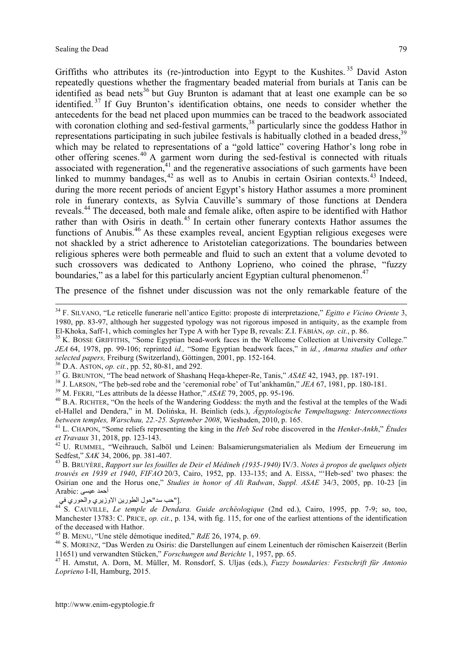Griffiths who attributes its (re-)introduction into Egypt to the Kushites.<sup>35</sup> David Aston repeatedly questions whether the fragmentary beaded material from burials at Tanis can be identified as bead nets<sup>36</sup> but Guy Brunton is adamant that at least one example can be so identified. <sup>37</sup> If Guy Brunton's identification obtains, one needs to consider whether the antecedents for the bead net placed upon mummies can be traced to the beadwork associated with coronation clothing and sed-festival garments,<sup>38</sup> particularly since the goddess Hathor in representations participating in such jubilee festivals is habitually clothed in a beaded dress.<sup>39</sup> which may be related to representations of a "gold lattice" covering Hathor's long robe in other offering scenes.<sup>40</sup> A garment worn during the sed-festival is connected with rituals associated with regeneration, $41$  and the regenerative associations of such garments have been linked to mummy bandages,  $42$  as well as to Anubis in certain Osirian contexts.  $43$  Indeed, during the more recent periods of ancient Egypt's history Hathor assumes a more prominent role in funerary contexts, as Sylvia Cauville's summary of those functions at Dendera reveals.44 The deceased, both male and female alike, often aspire to be identified with Hathor rather than with Osiris in death.<sup>45</sup> In certain other funerary contexts Hathor assumes the functions of Anubis.<sup>46</sup> As these examples reveal, ancient Egyptian religious exegeses were not shackled by a strict adherence to Aristotelian categorizations. The boundaries between religious spheres were both permeable and fluid to such an extent that a volume devoted to such crossovers was dedicated to Anthony Loprieno, who coined the phrase, "fuzzy boundaries," as a label for this particularly ancient Egyptian cultural phenomenon. $47$ 

The presence of the fishnet under discussion was not the only remarkable feature of the

el-Hallel and Dendera," in M. Dolińska, H. Beinlich (eds.), *Ägyptologische Tempeltagung: Interconnections* between temples, Warschau, 22.-25. September 2008, Wiesbaden, 2010, p. 165.<br><sup>41</sup> L. CHAPON, "Some reliefs representing the king in the *Heb Sed* robe discovered in the *Henket-Ankh*," Études

*et Travaux* 31, 2018, pp. 123-143.<br><sup>42</sup> U. RUMMEL, "Weihrauch, Salböl und Leinen: Balsamierungsmaterialien als Medium der Erneuerung im Sedfest." *SAK* 34, 2006, pp. 381-407.

43 B. BRUYÈRE, Rapport sur les fouilles de Deir el Médineh (1935-1940) IV/3. Notes à propos de quelques objets *trouvés en 1939 et 1940*, *FIFAO* 20/3, Cairo, 1952, pp. 133-135; and A. EISSA, "'Heb-sed' two phases: the Osirian one and the Horus one," *Studies in honor of Ali Radwan*, *Suppl. ASAE* 34/3, 2005, pp. 10-23 [in أحمد عیسى :Arabic

في والحوري الاوزیري الطورین حول"سد حب[". <sup>44</sup> S. CAUVILLE, *Le temple de Dendara. Guide archéologique* (2nd ed.), Cairo, 1995, pp. 7-9; so, too, Manchester 13783: C. PRICE, *op. cit.*, p. 134, with fig. 115, for one of the earliest attentions of the identification

http://www.enim-egyptologie.fr

 <sup>34</sup> F. SILVANO, "Le reticelle funerarie nell'antico Egitto: proposte di interpretazione," *Egitto <sup>e</sup> Vicino Oriente* 3, 1980, pp. 83-97, although her suggested typology was not rigorous imposed in antiquity, as the example from El-Khoka, Saff-1, which comingles her Type A with her Type B, reveals: Z.I. FÁBIÁN, *op. cit.*, p. 86.<br><sup>35</sup> K. BOSSE GRIFFITHS, "Some Egyptian bead-work faces in the Wellcome Collection at University College."

*JEA* 64, 1978, pp. 99-106; reprinted *id.,* "Some Egyptian beadwork faces," in *id.*, *Amarna studies and other* selected papers, Freiburg (Switzerland), Göttingen, 2001, pp. 152-164.<br><sup>36</sup> D.A. ASTON, op. cit., pp. 52, 80-81, and 292.<br><sup>37</sup> G. BRUNTON, "The bead network of Shashang Heqa-kheper-Re, Tanis," *ASAE* 42, 1943, pp. 187-191

of the deceased with Hathor.<br><sup>45</sup> B. MENU, "Une stèle démotique inedited," *RdE* 26, 1974, p. 69.<br><sup>46</sup> S. MORENZ, "Das Werden zu Osiris: die Darstellungen auf einem Leinentuch der römischen Kaiserzeit (Berlin<br>11651) und ve

<sup>&</sup>lt;sup>47</sup> H. Amstut, A. Dorn, M. Müller, M. Ronsdorf, S. Uljas (eds.), Fuzzy boundaries: Festschrift für Antonio *Loprieno* I-II, Hamburg, 2015.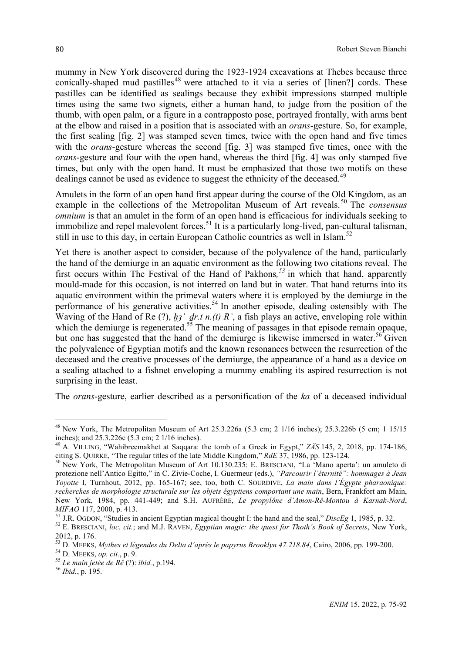mummy in New York discovered during the 1923-1924 excavations at Thebes because three conically-shaped mud pastilles<sup>48</sup> were attached to it via a series of  $[linear]$  cords. These pastilles can be identified as sealings because they exhibit impressions stamped multiple times using the same two signets, either a human hand, to judge from the position of the thumb, with open palm, or a figure in a contrapposto pose, portrayed frontally, with arms bent at the elbow and raised in a position that is associated with an *orans*-gesture. So, for example, the first sealing [fig. 2] was stamped seven times, twice with the open hand and five times with the *orans*-gesture whereas the second [fig. 3] was stamped five times, once with the *orans*-gesture and four with the open hand, whereas the third [fig. 4] was only stamped five times, but only with the open hand. It must be emphasized that those two motifs on these dealings cannot be used as evidence to suggest the ethnicity of the deceased.<sup>49</sup>

Amulets in the form of an open hand first appear during the course of the Old Kingdom, as an example in the collections of the Metropolitan Museum of Art reveals. <sup>50</sup> The *consensus omnium* is that an amulet in the form of an open hand is efficacious for individuals seeking to immobilize and repel malevolent forces.<sup>51</sup> It is a particularly long-lived, pan-cultural talisman, still in use to this day, in certain European Catholic countries as well in Islam.<sup>52</sup>

Yet there is another aspect to consider, because of the polyvalence of the hand, particularly the hand of the demiurge in an aquatic environment as the following two citations reveal. The first occurs within The Festival of the Hand of Pakhons*, <sup>53</sup>* in which that hand, apparently mould-made for this occasion, is not interred on land but in water. That hand returns into its aquatic environment within the primeval waters where it is employed by the demiurge in the performance of his generative activities.<sup>54</sup> In another episode, dealing ostensibly with The Waving of the Hand of Re (?), *ḫȝʿ ḏr.t n.(t) Rʿ*, a fish plays an active, enveloping role within which the demiurge is regenerated.<sup>55</sup> The meaning of passages in that episode remain opaque, but one has suggested that the hand of the demiurge is likewise immersed in water.<sup>56</sup> Given the polyvalence of Egyptian motifs and the known resonances between the resurrection of the deceased and the creative processes of the demiurge, the appearance of a hand as a device on a sealing attached to a fishnet enveloping a mummy enabling its aspired resurrection is not surprising in the least.

The *orans*-gesture, earlier described as a personification of the *ka* of a deceased individual

 <sup>48</sup> New York, The Metropolitan Museum of Art 25.3.226a (5.3 cm; <sup>2</sup> 1/16 inches); 25.3.226b (5 cm; <sup>1</sup> 15/15 inches); and 25.3.226c (5.3 cm; <sup>2</sup> 1/16 inches). <sup>49</sup> A. VILLING, "Wahibreemakhet at Saqqara: the tomb of <sup>a</sup> Greek in Egypt," *ZÄS* 145, 2, 2018, pp. 174-186,

citing S. QUIRKE, "The regular titles of the late Middle Kingdom," *RdE* 37, 1986, pp. 123-124.<br><sup>50</sup> New York, The Metropolitan Museum of Art 10.130.235: E. BRESCIANI, "La 'Mano aperta': un amuleto di

protezione nell'Antico Egitto," in C. Zivie-Coche, I. Guermeur (eds.), *"Parcourir l'éternité": hommages à Jean Yoyotte* I, Turnhout, 2012, pp. 165-167; see, too, both C. SOURDIVE, *La main dans l'Égypte pharaonique: recherches de morphologie structurale sur les objets égyptiens comportant une main*, Bern, Frankfort am Main, New York, 1984, pp. 441-449; and S.H. AUFRÈRE, *Le propylône d'Amon-Rê-Montou à Karnak-Nord*,

<sup>&</sup>lt;sup>51</sup> J.R. OGDON, "Studies in ancient Egyptian magical thought I: the hand and the seal," *DiscEg* 1, 1985, p. 32.<br><sup>52</sup> E. BRESCIANI, *loc. cit.*; and M.J. RAVEN, *Egyptian magic: the quest for Thoth's Book of Secrets*, New 2012, p. 176.<br>
<sup>53</sup> D. MEEKS, *Mythes et légendes du Delta d'après le papyrus Brooklyn 47.218.84*, Cairo, 2006, pp. 199-200.<br>
<sup>54</sup> D. MEEKS, *op. cit.*, p. 9.<br>
<sup>55</sup> Le main jetée de Ré (?): ibid., p.194.<br>
<sup>56</sup> Ibid., p. 1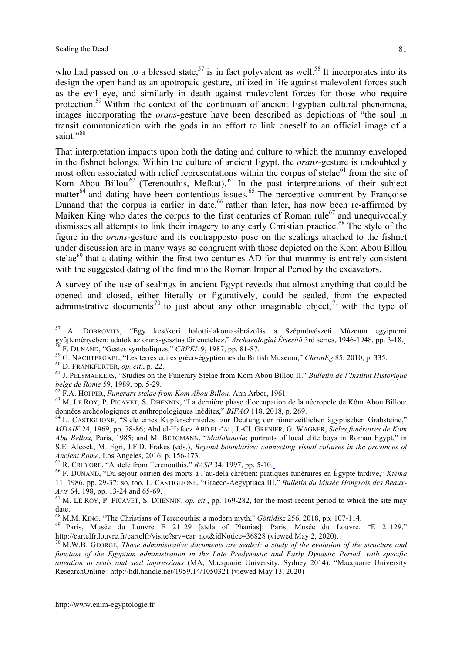who had passed on to a blessed state,  $57$  is in fact polyvalent as well.<sup>58</sup> It incorporates into its design the open hand as an apotropaic gesture, utilized in life against malevolent forces such as the evil eye, and similarly in death against malevolent forces for those who require protection.<sup>59</sup> Within the context of the continuum of ancient Egyptian cultural phenomena, images incorporating the *orans*-gesture have been described as depictions of "the soul in transit communication with the gods in an effort to link oneself to an official image of a saint $^{1,60}$ 

That interpretation impacts upon both the dating and culture to which the mummy enveloped in the fishnet belongs. Within the culture of ancient Egypt, the *orans*-gesture is undoubtedly most often associated with relief representations within the corpus of stelae<sup>61</sup> from the site of Kom Abou Billou<sup>62</sup> (Terenouthis, Mefkat). <sup>63</sup> In the past interpretations of their subject matter $^{64}$  and dating have been contentious issues.<sup>65</sup> The perceptive comment by Françoise Dunand that the corpus is earlier in date,<sup>66</sup> rather than later, has now been re-affirmed by Maiken King who dates the corpus to the first centuries of Roman rule<sup>67</sup> and unequivocally dismisses all attempts to link their imagery to any early Christian practice.<sup>68</sup> The style of the figure in the *orans-*gesture and its contrapposto pose on the sealings attached to the fishnet under discussion are in many ways so congruent with those depicted on the Kom Abou Billou stelae<sup>69</sup> that a dating within the first two centuries AD for that mummy is entirely consistent with the suggested dating of the find into the Roman Imperial Period by the excavators.

A survey of the use of sealings in ancient Egypt reveals that almost anything that could be opened and closed, either literally or figuratively, could be sealed, from the expected administrative documents<sup>70</sup> to just about any other imaginable object,  $\frac{1}{2}$  with the type of

http://www.enim-egyptologie.fr

<sup>&</sup>lt;sup>57</sup> A. DOBROVITS, "Egy kesökori halotti-lakoma-ábrázolás a Szépmüvészeti Múzeum egyiptomi gyüjteményében: adatok az orans-gesztus történetéhez," Archaeologiai Értesítő 3rd series, 1946-1948, pp. 3-18. <sup>58</sup> F. DUNAND, "Gestes symboliques," CRPEL 9, 1987, pp. 81-87.<br><sup>59</sup> G. NACHTERGAEL, "Les terres cuites gréco-égyptiennes du British Museum," ChronEg 85, 2010, p. 335.<br><sup>60</sup> D. FRANKFURTER, op. cit., p. 22.<br><sup>61</sup> J. PELSMAE

belge de Rome 59, 1989, pp. 5-29.<br><sup>62</sup> F.A. HOPPER, *Funerary stelae from Kom Abou Billou*, Ann Arbor, 1961.<br><sup>63</sup> M. LE ROY, P. PICAVET, S. DHENNIN, "La dernière phase d'occupation de la nécropole de Kôm Abou Billou:

données archéologiques et anthropologiques inédites," *BIFAO* 118, 2018, p. 269.<br><sup>64</sup> L. CASTIGLIONE, "Stele eines Kupferschmiedes: zur Deutung der römerzeitlichen ägyptischen Grabsteine,"

*MDAIK* 24, 1969, pp. 78-86; Abd el-Hafeez ABD EL-'AL, J.-Cl. GRENIER, G. WAGNER, *Stèles funéraires de Kom Abu Bellou,* Paris, 1985; and M. BERGMANN, "*Mallokouria*: portraits of local elite boys in Roman Egypt," in S.E. Alcock, M. Egri, J.F.D. Frakes (eds.), *Beyond boundaries: connecting visual cultures in the provinces of* Ancient Rome, Los Angeles, 2016, p. 156-173.<br><sup>65</sup> R. CRIBIORE, "A stele from Terenouthis," *BASP* 34, 1997, pp. 5-10.<br><sup>66</sup> F. DUNAND, "Du séjour osirien des morts à l'au-delà chrétien: pratiques funéraires en Égypte tardiv

<sup>11,</sup> 1986, pp. 29-37; so, too, L. CASTIGLIONE, "Graeco-Aegyptiaca III," *Bulletin du Musée Hongrois des Beaux-*

 $^{67}$  M. LE ROY, P. PICAVET, S. DHENNIN, *op. cit.*, pp. 169-282, for the most recent period to which the site may date.<br><sup>68</sup> M.M. KING, "The Christians of Terenouthis: a modern myth," GöttMisz 256, 2018, pp. 107-114.

<sup>69</sup> Paris, Musée du Louvre E 21129 [stela of Phanias]: Paris, Musée du Louvre. "E 21129."<br>http://cartelfr.louvre.fr/cartelfr/visite?srv=car not&idNotice=36828 (viewed May 2, 2020).

 $^{70}$  M.W.B. GEORGE, Those administrative documents are sealed: a study of the evolution of the structure and *function of the Egyptian administration in the Late Predynastic and Early Dynastic Period, with specific attention to seals and seal impressions* (MA, Macquarie University, Sydney 2014). "Macquarie University ResearchOnline" http://hdl.handle.net/1959.14/1050321 (viewed May 13, 2020)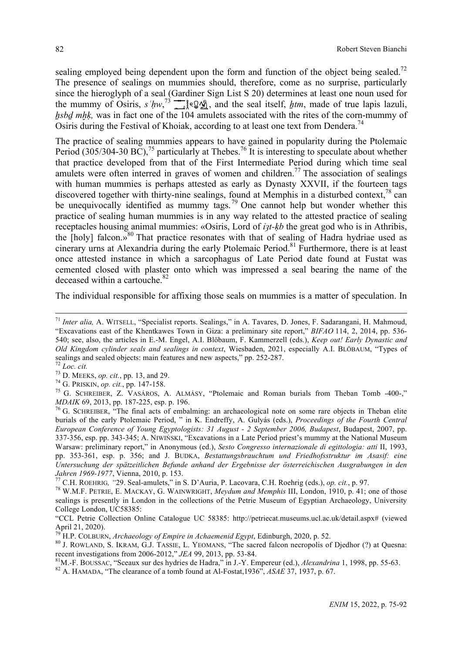sealing employed being dependent upon the form and function of the object being sealed.<sup>72</sup> The presence of sealings on mummies should, therefore, come as no surprise, particularly since the hieroglyph of a seal (Gardiner Sign List S 20) determines at least one noun used for the mummy of Osiris,  $s$   $h w$ ,  $\frac{73}{2}$  ,  $\frac{60}{3}$ , and the seal itself, *htm*, made of true lapis lazuli, hsbd mhk, was in fact one of the 104 amulets associated with the rites of the corn-mummy of Osiris during the Festival of Khoiak, according to at least one text from Dendera.<sup>74</sup>

The practice of sealing mummies appears to have gained in popularity during the Ptolemaic Period (305/304-30 BC), <sup>75</sup> particularly at Thebes.<sup>76</sup> It is interesting to speculate about whether that practice developed from that of the First Intermediate Period during which time seal amulets were often interred in graves of women and children.<sup>77</sup> The association of sealings with human mummies is perhaps attested as early as Dynasty XXVII, if the fourteen tags discovered together with thirty-nine sealings, found at Memphis in a disturbed context, $^{78}$  can be unequivocally identified as mummy tags.<sup>79</sup> One cannot help but wonder whether this practice of sealing human mummies is in any way related to the attested practice of sealing receptacles housing animal mummies: «Osiris, Lord of *ỉȝt-ḳb* the great god who is in Athribis, the  $[{\text{holy}}]$  falcon.»<sup>80</sup> That practice resonates with that of sealing of Hadra hydriae used as cinerary urns at Alexandria during the early Ptolemaic Period.<sup>81</sup> Furthermore, there is at least once attested instance in which a sarcophagus of Late Period date found at Fustat was cemented closed with plaster onto which was impressed a seal bearing the name of the deceased within a cartouche.<sup>82</sup>

The individual responsible for affixing those seals on mummies is a matter of speculation. In

 <sup>71</sup> *Inter alia,* A. WITSELL, "Specialist reports. Sealings," in A. Tavares, D. Jones, F. Sadarangani, H. Mahmoud, "Excavations east of the Khentkawes Town in Giza: a preliminary site report," *BIFAO* 114, 2, 2014, pp. 536- 540; see, also, the articles in E.-M. Engel, A.I. Blöbaum, F. Kammerzell (eds.), *Keep out! Early Dynastic and Old Kingdom cylinder seals and sealings in context*, Wiesbaden, 2021, especially A.I. BLÖBAUM, "Types of sealings and sealed objects: main features and new aspects," pp. 252-287.<br>
<sup>72</sup> Loc. cit.<br>
<sup>73</sup> D. MEEKS, op. cit., pp. 13, and 29.<br>
<sup>74</sup> G. PRISKIN, op. cit., pp. 147-158.<br>
<sup>75</sup> G. SCHREIBER, Z. VASÁROS, A. ALMÁSY, "Ptol

*MDAIK* 69, 2013, pp. 187-225, esp. p. 196.<br><sup>76</sup> G. SCHREIBER, "The final acts of embalming: an archaeological note on some rare objects in Theban elite

burials of the early Ptolemaic Period, " in K. Endreffy, A. Gulyás (eds.), *Proceedings of the Fourth Central European Conference of Young Egyptologists: 31 August - 2 September 2006, Budapest*, Budapest, 2007, pp. 337-356, esp. pp. 343-345; A. NIWIŃSKI, "Excavations in a Late Period priest's mummy at the National Museum Warsaw: preliminary report," in Anonymous (ed.), *Sesto Congresso internazionale di egittologia: atti* II, 1993, pp. 353-361, esp. p. 356; and J. BUDKA, *Bestattungsbrauchtum und Friedhofsstruktur im Asasif: eine Untersuchung der spätzeitlichen Befunde anhand der Ergebnisse der österreichischen Ausgrabungen in den*

<sup>&</sup>lt;sup>77</sup> C.H. ROEHRIG, "29. Seal-amulets," in S. D'Auria, P. Lacovara, C.H. Roehrig (eds.), op. cit., p. 97.<br><sup>78</sup> W.M.F. PETRIE, E. MACKAY, G. WAINWRIGHT, *Meydum and Memphis* III, London, 1910, p. 41; one of those sealings is presently in London in the collections of the Petrie Museum of Egyptian Archaeology, University College London, UC58385:

<sup>&</sup>quot;CCL Petrie Collection Online Catalogue UC 58385: http://petriecat.museums.ucl.ac.uk/detail.aspx# (viewed April 21, 2020).<br>
<sup>79</sup> H B Cot Pinny 4.1

<sup>&</sup>lt;sup>79</sup> H.P. COLBURN, *Archaeology of Empire in Achaemenid Egypt*, Edinburgh, 2020, p. 52.<br><sup>80</sup> J. ROWLAND, S. IKRAM, G.J. TASSIE, L. YEOMANS, "The sacred falcon necropolis of Djedhor (?) at Quesna:<br>recent investigations fro

<sup>&</sup>lt;sup>81</sup>M.-F. BOUSSAC, "Sceaux sur des hydries de Hadra," in J.-Y. Empereur (ed.), *Alexandrina* 1, 1998, pp. 55-63.<br><sup>82</sup> A. HAMADA, "The clearance of a tomb found at Al-Fostat, 1936", *ASAE* 37, 1937, p. 67.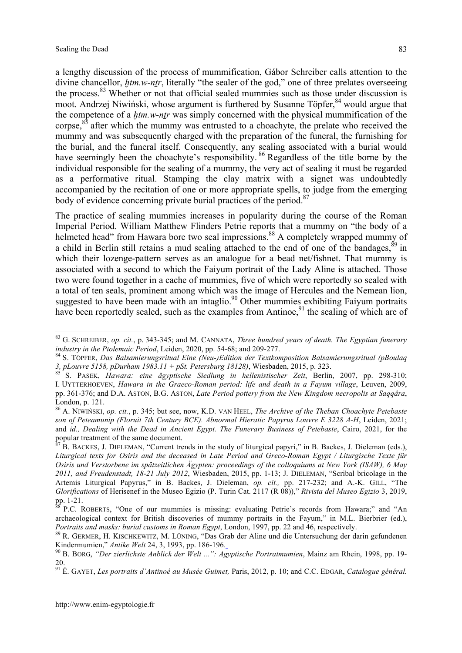a lengthy discussion of the process of mummification, Gábor Schreiber calls attention to the divine chancellor, *htm.w-ntr*, literally "the sealer of the god," one of three prelates overseeing the process.<sup>83</sup> Whether or not that official sealed mummies such as those under discussion is moot. Andrzej Niwiński, whose argument is furthered by Susanne Töpfer, <sup>84</sup> would argue that the competence of a *htm.w-ntr* was simply concerned with the physical mummification of the corpse, $85$  after which the mummy was entrusted to a choachyte, the prelate who received the mummy and was subsequently charged with the preparation of the funeral, the furnishing for the burial, and the funeral itself. Consequently, any sealing associated with a burial would have seemingly been the choachyte's responsibility.<sup>86</sup> Regardless of the title borne by the individual responsible for the sealing of a mummy, the very act of sealing it must be regarded as a performative ritual. Stamping the clay matrix with a signet was undoubtedly accompanied by the recitation of one or more appropriate spells, to judge from the emerging body of evidence concerning private burial practices of the period.<sup>87</sup>

The practice of sealing mummies increases in popularity during the course of the Roman Imperial Period. William Matthew Flinders Petrie reports that a mummy on "the body of a helmeted head" from Hawara bore two seal impressions.<sup>88</sup> A completely wrapped mummy of a child in Berlin still retains a mud sealing attached to the end of one of the bandages.  $89$  in which their lozenge-pattern serves as an analogue for a bead net/fishnet. That mummy is associated with a second to which the Faiyum portrait of the Lady Aline is attached. Those two were found together in a cache of mummies, five of which were reportedly so sealed with a total of ten seals, prominent among which was the image of Hercules and the Nemean lion, suggested to have been made with an intaglio.<sup>90</sup> Other mummies exhibiting Faiyum portraits have been reportedly sealed, such as the examples from Antinoe,<sup>91</sup> the sealing of which are of

 <sup>83</sup> G. SCHREIBER, *op. cit.*, p. 343-345; and M. CANNATA, *Three hundred years of death. The Egyptian funerary*

industry in the Ptolemaic Period, Leiden, 2020, pp. 54-68; and 209-277.<br><sup>84</sup> S. TÖPFER, *Das Balsamierungsritual Eine (Neu-)Edition der Textkomposition Balsamierungsritual (pBoulaq 3, pLouvre 5158, pDurham 1983.11 + pSt.* 

S. PASEK, Hawara: eine ägyptische Siedlung in hellenistischer Zeit, Berlin, 2007, pp. 298-310; I. UYTTERHOEVEN, *Hawara in the Graeco-Roman period: life and death in a Fayum village*, Leuven, 2009, pp. 361-376; and D.A. ASTON, B.G. ASTON, *Late Period pottery from the New Kingdom necropolis at Saqqâra*, London, p. 121. <sup>86</sup> A. NIWIŃSKI, *op. cit.*, p. 345; but see, now, K.D. VAN HEEL, *The Archive of the Theban Choachyte Petebaste*

*son of Peteamunip (Floruit 7th Century BCE). Abnormal Hieratic Papyrus Louvre E 3228 A-H*, Leiden, 2021; and *id., Dealing with the Dead in Ancient Egypt. The Funerary Business of Petebaste*, Cairo, 2021, for the popular treatment of the same document.

 $p^7$  B. BACKES, J. DIELEMAN, "Current trends in the study of liturgical papyri," in B. Backes, J. Dieleman (eds.), *Liturgical texts for Osiris and the deceased in Late Period and Greco-Roman Egypt / Liturgische Texte für Osiris und Verstorbene im spätzeitlichen Ägypten: proceedings of the colloquiums at New York (ISAW), 6 May 2011, and Freudenstadt, 18-21 July 2012*, Wiesbaden, 2015, pp. 1-13; J. DIELEMAN, "Scribal bricolage in the Artemis Liturgical Papyrus," in B. Backes, J. Dieleman, *op. cit.,* pp. 217-232; and A.-K. GILL, "The *Glorifications* of Herisenef in the Museo Egizio (P. Turin Cat. 2117 (R 08))," *Rivista del Museo Egizio* 3, 2019,

pp. 1-21.<br><sup>88</sup> P.C. ROBERTS, "One of our mummies is missing: evaluating Petrie's records from Hawara;" and "An archaeological context for British discoveries of mummy portraits in the Fayum," in M.L. Bierbrier (ed.), Portraits and masks: burial customs in Roman Egypt, London, 1997, pp. 22 and 46, respectively.<br><sup>89</sup> R. GERMER, H. KISCHKEWITZ, M. LÜNING, "Das Grab der Aline und die Untersuchung der darin gefundenen

Kindermumien," Antike Welt 24, 3, 1993, pp. 186-196.<br><sup>90</sup> B. BORG, "Der zierlichste Anblick der Welt ...": Agyptische Portratmumien, Mainz am Rhein, 1998, pp. 19-

<sup>20.</sup>

<sup>91</sup> É. GAYET, *Les portraits d'Antinoé au Musée Guimet,* Paris, 2012, p. 10; and C.C. EDGAR, *Catalogue général.*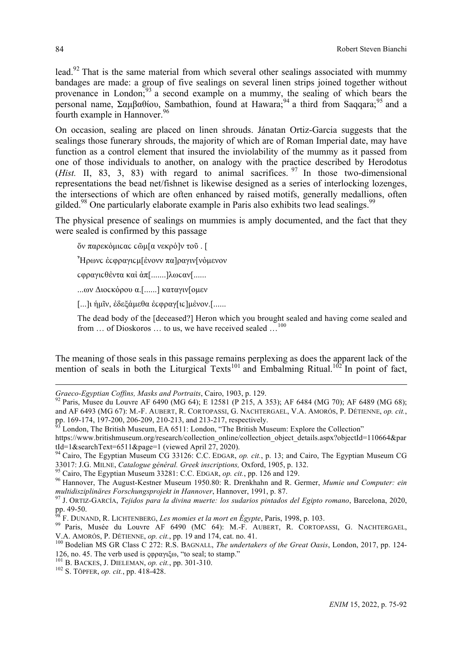lead.<sup>92</sup> That is the same material from which several other sealings associated with mummy bandages are made: a group of five sealings on several linen strips joined together without provenance in London;<sup>93</sup> a second example on a mummy, the sealing of which bears the personal name, Σαμβαθίου, Sambathion, found at Hawara;<sup>94</sup> a third from Saqqara;<sup>95</sup> and a fourth example in Hannover.<sup>96</sup>

On occasion, sealing are placed on linen shrouds. Jánatan Ortiz-Garcia suggests that the sealings those funerary shrouds, the majority of which are of Roman Imperial date, may have function as a control element that insured the inviolability of the mummy as it passed from one of those individuals to another, on analogy with the practice described by Herodotus (*Hist.* II, 83, 3, 83) with regard to animal sacrifices. <sup>97</sup> In those two-dimensional representations the bead net/fishnet is likewise designed as a series of interlocking lozenges, the intersections of which are often enhanced by raised motifs, generally medallions, often gilded.<sup>98</sup> One particularly elaborate example in Paris also exhibits two lead sealings.<sup>99</sup>

The physical presence of sealings on mummies is amply documented, and the fact that they were sealed is confirmed by this passage

δν παρεκόμιςας ς δι[α νεκρό]ν τοῦ. [

 $\tilde{}$  Ηρωνς έςφραγις μ[ένονν πα]ραγιν[νόμενον

ϲφραγιϲθἐντα καἰ ἀπ[.......]λωϲαν[......

...ων Διοϲκὁρου α.[......] καταγιν[οµεν

[...]ι ἡµῖν, ἐδεξἀµεθα ἐϲφραγ[ιϲ]µἐνον.[......

The dead body of the [deceased?] Heron which you brought sealed and having come sealed and from ... of Dioskoros ... to us, we have received sealed ...<sup>100</sup>

The meaning of those seals in this passage remains perplexing as does the apparent lack of the mention of seals in both the Liturgical Texts<sup>101</sup> and Embalming Ritual.<sup>102</sup> In point of fact,

<sup>2</sup> London, The British Museum, EA 6511: London, "The British Museum: Explore the Collection"

https://www.britishmuseum.org/research/collection\_online/collection\_object\_details.aspx?objectId=110664&par

 $\overline{a}$ 

*Graeco-Egyptian Coffins, Masks and Portraits*, Cairo, 1903, p. 129.<br><sup>92</sup> Paris, Musee du Louvre AF 6490 (MG 64); E 12581 (P 215, A 353); AF 6484 (MG 70); AF 6489 (MG 68); and AF 6493 (MG 67): M.-F. AUBERT, R. CORTOPASSI, G. NACHTERGAEL, V.A. AMORÓS, P. DÉTIENNE, *op. cit.*,

tId=1&searchText=6511&page=1 (viewed April 27, 2020).<br><sup>94</sup> Cairo, The Egyptian Museum CG 33126: C.C. EDGAR, *op. cit.*, p. 13; and Cairo, The Egyptian Museum CG 33017: J.G. MILNE, *Catalogue général. Greek inscriptions*, O

<sup>&</sup>lt;sup>95</sup> Cairo, The Egyptian Museum 33281: C.C. EDGAR, op. cit., pp. 126 and 129.<br><sup>96</sup> Hannover, The August-Kestner Museum 1950.80: R. Drenkhahn and R. Germer, *Mumie und Computer: ein* 

*multidisziplinäres Forschungsprojekt in Hannover*, Hannover, 1991, p. 87.<br><sup>97</sup> J. ORTIZ-GARCÍA, *Tejidos para la divina muerte: los sudarios pintados del Egipto romano*, Barcelona, 2020,<br>ps. 49-50.

<sup>&</sup>lt;sup>98</sup> F. DUNAND, R. LICHTENBERG, *Les momies et la mort en Égypte*, Paris, 1998, p. 103.<br><sup>99</sup> Paris, Musée du Louvre AF 6490 (MC 64): M.-F. AUBERT, R. CORTOPASSI, G. NACHTERGAEL, V.A. AMORÓS, P. DÉTIENNE, op. cit., pp. 19 and 174, cat. no. 41.<br><sup>100</sup> Bodelian MS GR Class C 272: R.S. BAGNALL, *The undertakers of the Great Oasis*, London, 2017, pp. 124-

<sup>126,</sup> no. 45. The verb used is ςφραγιξω, "to seal; to stamp." <sup>101</sup> B. BACKES, J. DIELEMAN, *op. cit.*, pp. 301-310. <sup>102</sup> S. TÖPFER, *op. cit.*, pp. 418-428.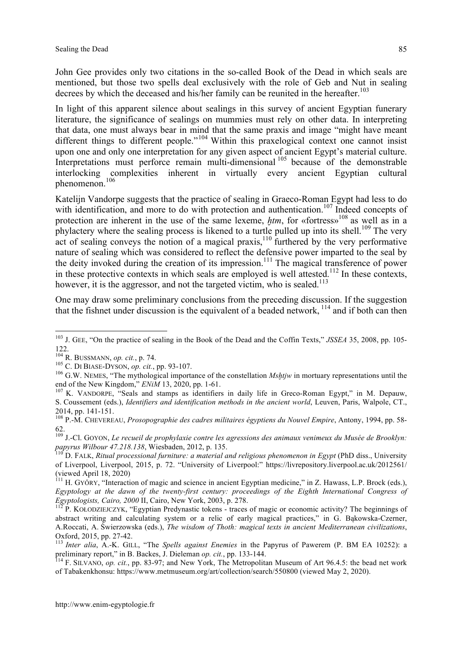John Gee provides only two citations in the so-called Book of the Dead in which seals are mentioned, but those two spells deal exclusively with the role of Geb and Nut in sealing decrees by which the deceased and his/her family can be reunited in the hereafter.<sup>103</sup>

In light of this apparent silence about sealings in this survey of ancient Egyptian funerary literature, the significance of sealings on mummies must rely on other data. In interpreting that data, one must always bear in mind that the same praxis and image "might have meant different things to different people."<sup>104</sup> Within this praxelogical context one cannot insist upon one and only one interpretation for any given aspect of ancient Egypt's material culture. Interpretations must perforce remain multi-dimensional <sup>105</sup> because of the demonstrable interlocking complexities inherent in virtually every ancient Egyptian cultural phenomenon.<sup>106</sup>

Katelijn Vandorpe suggests that the practice of sealing in Graeco-Roman Egypt had less to do with identification, and more to do with protection and authentication.<sup>107</sup> Indeed concepts of protection are inherent in the use of the same lexeme, *htm*, for «fortress»<sup>108</sup> as well as in a phylactery where the sealing process is likened to a turtle pulled up into its shell.<sup>109</sup> The very act of sealing conveys the notion of a magical praxis,  $\frac{110}{10}$  furthered by the very performative nature of sealing which was considered to reflect the defensive power imparted to the seal by the deity invoked during the creation of its impression.<sup>111</sup> The magical transference of power in these protective contexts in which seals are employed is well attested.<sup>112</sup> In these contexts, however, it is the aggressor, and not the targeted victim, who is sealed.<sup>113</sup>

One may draw some preliminary conclusions from the preceding discussion. If the suggestion that the fishnet under discussion is the equivalent of a beaded network,  $114$  and if both can then

<sup>&</sup>lt;sup>103</sup> J. GEE, "On the practice of sealing in the Book of the Dead and the Coffin Texts," *JSSEA* 35, 2008, pp. 105-122.<br><sup>104</sup> R. BUSSMANN, *op. cit.*, p. 74.

<sup>&</sup>lt;sup>106</sup> C. DI BIASE-DYSON, *op. cit.*, pp. 93-107.<br><sup>106</sup> G.W. NEMES, "The mythological importance of the constellation *Mshtjw* in mortuary representations until the end of the New Kingdom," *ENiM* 13, 2020, pp. 1-61.<br><sup>107</sup> K. VANDORPE, "Seals and stamps as identifiers in daily life in Greco-Roman Egypt," in M. Depauw,

S. Coussement (eds.), *Identifiers and identification methods in the ancient world*, Leuven, Paris, Walpole, CT., 2014, pp. 141-151. <sup>108</sup> P.-M. CHEVEREAU, *Prosopographie des cadres militaires égyptiens du Nouvel Empire*, Antony, 1994, pp. 58-

<sup>62.</sup>

<sup>109</sup> J.-Cl. GOYON, *Le recueil de prophylaxie contre les agressions des animaux venimeux du Musée de Brooklyn:* papyrus Wilbour 47.218.138, Wiesbaden, 2012, p. 135.<br><sup>110</sup> D. FALK, Ritual processional furniture: a material and religious phenomenon in Egypt (PhD diss., University

of Liverpool, Liverpool, 2015, p. 72. "University of Liverpool:" https://livrepository.liverpool.ac.uk/2012561/ (viewed April 18, 2020)<br><sup>111</sup> H. GYŐRY, "Interaction of magic and science in ancient Egyptian medicine," in Z. Hawass, L.P. Brock (eds.),

*Egyptology at the dawn of the twenty-first century: proceedings of the Eighth International Congress of Egyptologists, Cairo, 2000* II, Cairo, New York, 2003, p. 278. 112 P. KOŁODZIEJCZYK, "Egyptian Predynastic tokens - traces of magic or economic activity? The beginnings of

abstract writing and calculating system or a relic of early magical practices," in G. Bąkowska-Czerner, A.Roccati, A. Świerzowska (eds.), *The wisdom of Thoth: magical texts in ancient Mediterranean civilizations*,

<sup>&</sup>lt;sup>113</sup> *Inter alia*, A.-K. GILL, "The *Spells against Enemies* in the Papyrus of Pawerem (P. BM EA 10252): a preliminary report," in B. Backes, J. Dieleman *op. cit.*, pp. 133-144.<br><sup>114</sup> F. SILVANO, *op. cit.*, pp. 83-97; and New York, The Metropolitan Museum of Art 96.4.5: the bead net work

of Tabakenkhonsu: https://www.metmuseum.org/art/collection/search/550800 (viewed May 2, 2020).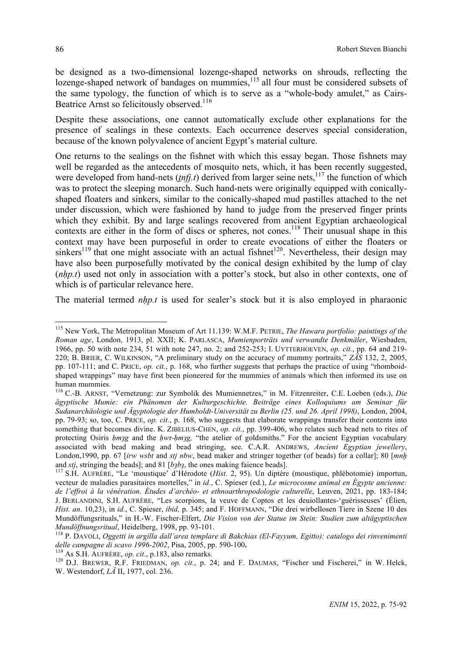be designed as a two-dimensional lozenge-shaped networks on shrouds, reflecting the lozenge-shaped network of bandages on mummies, $115$  all four must be considered subsets of the same typology, the function of which is to serve as a "whole-body amulet," as Cairs-Beatrice Arnst so felicitously observed.<sup>116</sup>

Despite these associations, one cannot automatically exclude other explanations for the presence of sealings in these contexts. Each occurrence deserves special consideration, because of the known polyvalence of ancient Egypt's material culture.

One returns to the sealings on the fishnet with which this essay began. Those fishnets may well be regarded as the antecedents of mosquito nets, which, it has been recently suggested, were developed from hand-nets (*tnfj.t*) derived from larger seine nets,<sup>117</sup> the function of which was to protect the sleeping monarch. Such hand-nets were originally equipped with conicallyshaped floaters and sinkers, similar to the conically-shaped mud pastilles attached to the net under discussion, which were fashioned by hand to judge from the preserved finger prints which they exhibit. By and large sealings recovered from ancient Egyptian archaeological contexts are either in the form of discs or spheres, not cones.<sup>118</sup> Their unusual shape in this context may have been purposeful in order to create evocations of either the floaters or sinkers<sup>119</sup> that one might associate with an actual fishnet<sup>120</sup>. Nevertheless, their design may have also been purposefully motivated by the conical design exhibited by the lump of clay (*nhp.t*) used not only in association with a potter's stock, but also in other contexts, one of which is of particular relevance here.

The material termed *nhp.t* is used for sealer's stock but it is also employed in pharaonic

 <sup>115</sup> New York, The Metropolitan Museum of Art 11.139: W.M.F. PETRIE, *The Hawara portfolio: paintings of the Roman age*, London, 1913, pl. XXII; K. PARLASCA, *Mumienporträts und verwandte Denkmäler*, Wiesbaden, 1966, pp. 50 with note 234, 51 with note 247, no. 2; and 252-253; I. UYTTERHOEVEN, *op. cit.*, pp. 64 and 219- 220; B. BRIER, C. WILKINSON, "A preliminary study on the accuracy of mummy portraits," *ZÄS* 132, 2, 2005, pp. 107-111; and C. PRICE, *op. cit.*, p. 168, who further suggests that perhaps the practice of using "rhomboidshaped wrappings" may have first been pioneered for the mummies of animals which then informed its use on human mummies.<br><sup>116</sup> C.-B. ARNST, "Vernetzung: zur Symbolik des Mumiennetzes," in M. Fitzenreiter, C.E. Loeben (eds.), *Die* 

*ägyptische Mumie: ein Phänomen der Kulturgeschichte. Beiträge eines Kolloquiums am Seminar für Sudanarchäologie und Ägyptologie der Humboldt-Universität zu Berlin (25. und 26. April 1998)*, London, 2004, pp. 79-93; so, too, C. PRICE, *op. cit.*, p. 168, who suggests that elaborate wrappings transfer their contents into something that becomes divine. K. ZIBELIUS-CHEN, *op. cit.*, pp. 399-406, who relates such bead nets to rites of protecting Osiris *hmag* and the *hwt-hmag*, "the atelier of goldsmiths." For the ancient Egyptian vocabulary associated with bead making and bead stringing, see. C.A.R. ANDREWS, *Ancient Egyptian jewellery*, London,1990, pp. 67 [*ỉrw wsbt* and *stj nbw*, bead maker and stringer together (of beads) for a collar]; 80 [*mnḫ* and *stj*, stringing the beads]; and 81 [*b<sub>3</sub>b<sub>3</sub>*, the ones making faience beads].<br><sup>117</sup> S.H. AUFRÈRE, "Le 'moustique' d'Hérodote (*Hist.* 2, 95). Un diptère (moustique, phlébotomie) importun,

vecteur de maladies parasitaires mortelles," in *id.*, C. Spieser (ed.), *Le microcosme animal en Égypte ancienne: de l'effroi à la vénération. Études d'archéo- et ethnoarthropodologie culturelle*, Leuven, 2021, pp. 183-184; J. BERLANDINI, S.H. AUFRÈRE, "Les scorpions, la veuve de Coptos et les deuiollantes-'guérisseuses' (Élien, *Hist. an*. 10,23), in *id.*, C. Spieser, *ibid,* p. 345; and F. HOFFMANN, "Die drei wirbellosen Tiere in Szene 10 des Mundöffungsrituals," in H.-W. Fischer-Elfert, *Die Vision von der Statue im Stein: Studien zum altägyptischen*

Mundöffnungsritual, Heidelberg, 1998, pp. 93-101.<br><sup>118</sup> P. DAVOLI, *Oggetti in argilla dall'area templare di Bakchias (El-Fayyum, Egitto): catalogo dei rinvenimenti<br>delle campagne di scavo 1996-2002, Pisa, 2005, pp. 590-10* 

<sup>&</sup>lt;sup>119</sup> As S.H. AUFRÈRE, op. cit., p.183, also remarks.<br><sup>120</sup> D.J. BREWER, R.F. FRIEDMAN, op. cit., p. 24; and F. DAUMAS, "Fischer und Fischerei," in W. Helck, W. Westendorf, *LÄ* II, 1977, col. 236.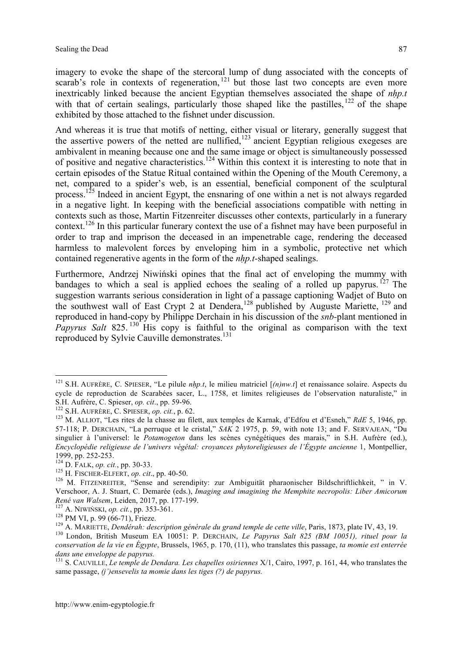imagery to evoke the shape of the stercoral lump of dung associated with the concepts of scarab's role in contexts of regeneration,  $121$  but those last two concepts are even more inextricably linked because the ancient Egyptian themselves associated the shape of *nḥp.t* with that of certain sealings, particularly those shaped like the pastilles,  $^{122}$  of the shape exhibited by those attached to the fishnet under discussion.

And whereas it is true that motifs of netting, either visual or literary, generally suggest that the assertive powers of the netted are nullified, $123$  ancient Egyptian religious exegeses are ambivalent in meaning because one and the same image or object is simultaneously possessed of positive and negative characteristics.124 Within this context it is interesting to note that in certain episodes of the Statue Ritual contained within the Opening of the Mouth Ceremony, a net, compared to a spider's web, is an essential, beneficial component of the sculptural process.<sup>125</sup> Indeed in ancient Egypt, the ensnaring of one within a net is not always regarded in a negative light. In keeping with the beneficial associations compatible with netting in contexts such as those, Martin Fitzenreiter discusses other contexts, particularly in a funerary context.<sup>126</sup> In this particular funerary context the use of a fishnet may have been purposeful in order to trap and imprison the deceased in an impenetrable cage, rendering the deceased harmless to malevolent forces by enveloping him in a symbolic, protective net which contained regenerative agents in the form of the *nḥp.t-*shaped sealings.

Furthermore, Andrzej Niwiński opines that the final act of enveloping the mummy with bandages to which a seal is applied echoes the sealing of a rolled up papyrus. <sup>127</sup> The suggestion warrants serious consideration in light of a passage captioning Wadjet of Buto on the southwest wall of East Crypt 2 at Dendera, $128$  published by Auguste Mariette,  $129$  and reproduced in hand-copy by Philippe Derchain in his discussion of the *snb-*plant mentioned in *Papyrus Salt* 825.<sup>130</sup> His copy is faithful to the original as comparison with the text reproduced by Sylvie Cauville demonstrates.<sup>131</sup>

 <sup>121</sup> S.H. AUFRÈRE, C. SPIESER, "Le pilule *<sup>n</sup>ḥp.t*, le milieu matriciel [*(n)nw.t*] et renaissance solaire. Aspects du cycle de reproduction de Scarabées sacer, L., 1758, et limites religieuses de l'observation naturaliste," in S.H. Aufrère, C. Spieser, op. cit., pp. 59-96.<br><sup>122</sup> S.H. AUFRÈRE, C. SPIESER, op. cit., p. 62.<br><sup>123</sup> M. ALLIOT, "Les rites de la chasse au filett, aux temples de Karnak, d'Edfou et d'Esneh," *RdE* 5, 1946, pp.

<sup>57-118;</sup> P. DERCHAIN, "La perruque et le cristal," *SAK* 2 1975, p. 59, with note 13; and F. SERVAJEAN, "Du singulier à l'universel: le *Potamogeton* dans les scènes cynégétiques des marais," in S.H. Aufrère (ed.), *Encyclopédie religieuse de l'univers végétal: croyances phytoreligieuses de l'Égypte ancienne* 1, Montpellier,

<sup>1999,</sup> pp. 252-253.<br><sup>124</sup> D. FALK, *op. cit.*, pp. 30-33.<br><sup>125</sup> H. FISCHER-ELFERT, *op. cit.*, pp. 40-50.<br><sup>126</sup> M. FITZENREITER, "Sense and serendipity: zur Ambiguität pharaonischer Bildschriftlichkeit, " in V. Verschoor, A. J. Stuart, C. Demarée (eds.), *Imaging and imagining the Memphite necropolis: Liber Amicorum* René van Walsem, Leiden, 2017, pp. 177-199.<br>
<sup>127</sup> A. NIWIŃSKI, op. cit., pp. 353-361.<br>
<sup>128</sup> PM VI, p. 99 (66-71), Frieze.<br>
<sup>129</sup> A. MARIETTE, *Dendérah: description générale du grand temple de cette ville*, Paris, 1873,

*conservation de la vie en Égypte*, Brussels, 1965, p. 170, (11), who translates this passage, *ta momie est enterrée* dans une enveloppe de papyrus.<br><sup>131</sup> S. CAUVILLE, *Le temple de Dendara. Les chapelles osiriennes X*/1, Cairo, 1997, p. 161, 44, who translates the

same passage, *(j')ensevelis ta momie dans les tiges (?) de papyrus.*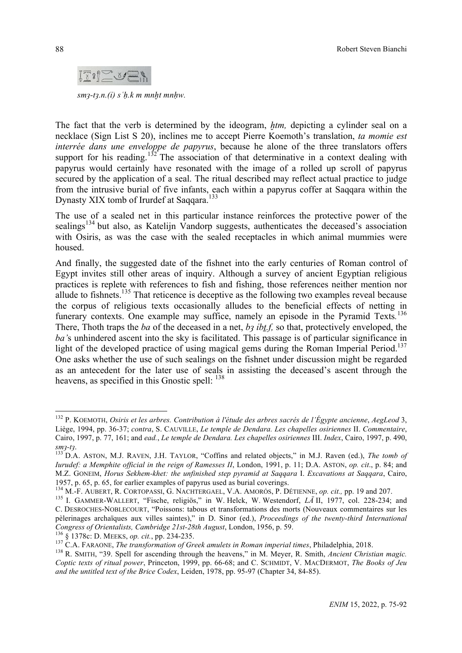

*smȝ-tȝ.n.(ỉ) sʿḥ.k m mnḫt mnḥw.*

The fact that the verb is determined by the ideogram, *htm*, depicting a cylinder seal on a necklace (Sign List S 20), inclines me to accept Pierre Koemoth's translation, *ta momie est interrée dans une enveloppe de papyrus*, because he alone of the three translators offers support for his reading.<sup>132</sup> The association of that determinative in a context dealing with papyrus would certainly have resonated with the image of a rolled up scroll of papyrus secured by the application of a seal. The ritual described may reflect actual practice to judge from the intrusive burial of five infants, each within a papyrus coffer at Saqqara within the Dynasty XIX tomb of Irurdef at Saqqara.<sup>133</sup>

The use of a sealed net in this particular instance reinforces the protective power of the sealings<sup>134</sup> but also, as Katelijn Vandorp suggests, authenticates the deceased's association with Osiris, as was the case with the sealed receptacles in which animal mummies were housed.

And finally, the suggested date of the fishnet into the early centuries of Roman control of Egypt invites still other areas of inquiry. Although a survey of ancient Egyptian religious practices is replete with references to fish and fishing, those references neither mention nor allude to fishnets.<sup>135</sup> That reticence is deceptive as the following two examples reveal because the corpus of religious texts occasionally alludes to the beneficial effects of netting in funerary contexts. One example may suffice, namely an episode in the Pyramid Texts.<sup>136</sup> There, Thoth traps the *ba* of the deceased in a net, *bȝ ỉbṯ.f,* so that, protectively enveloped, the *ba'*s unhindered ascent into the sky is facilitated. This passage is of particular significance in light of the developed practice of using magical gems during the Roman Imperial Period.<sup>137</sup> One asks whether the use of such sealings on the fishnet under discussion might be regarded as an antecedent for the later use of seals in assisting the deceased's ascent through the heavens, as specified in this Gnostic spell: <sup>138</sup>

 <sup>132</sup> P. KOEMOTH, *Osiris et les arbres. Contribution <sup>à</sup> l'étude des arbres sacrés de l'Égypte ancienne*, *AegLeod* 3, Liège, 1994, pp. 36-37; *contra*, S. CAUVILLE, *Le temple de Dendara. Les chapelles osiriennes* II. *Commentaire*, Cairo, 1997, p. 77, 161; and *ead.*, *Le temple de Dendara. Les chapelles osiriennes* III. *Index*, Cairo, 1997, p. 490, *smȝ-tȝ*. <sup>133</sup> D.A. ASTON, M.J. RAVEN, J.H. TAYLOR, "Coffins and related objects," in M.J. Raven (ed.), *The tomb of*

*Iurudef: a Memphite official in the reign of Ramesses II*, London, 1991, p. 11; D.A. ASTON, *op. cit*., p. 84; and M.Z. GONEIM, *Horus Sekhem-khet: the unfinished step pyramid at Saqqara* I. *Excavations at Saqqara*, Cairo,

<sup>&</sup>lt;sup>134</sup> M.-F. AUBERT, R. CORTOPASSI, G. NACHTERGAEL, V.A. AMORÓS, P. DÉTIENNE, op. cit., pp. 19 and 207.<br><sup>135</sup> I. GAMMER-WALLERT, "Fische, religiös," in W. Helck, W. Westendorf, *LÄ* II, 1977, col. 228-234; and C. DESROCHES-NOBLECOURT, "Poissons: tabous et transformations des morts (Nouveaux commentaires sur les pèlerinages archaïques aux villes saintes)," in D. Sinor (ed.), *Proceedings of the twenty-third International* Congress of Orientalists, Cambridge 21st-28th August, London, 1956, p. 59.<br><sup>136</sup> § 1378c: D. MEEKS, op. cit., pp. 234-235.<br><sup>137</sup> C.A. FARAONE, *The transformation of Greek amulets in Roman imperial times*, Philadelphia, 20

*Coptic texts of ritual power*, Princeton, 1999, pp. 66-68; and C. SCHMIDT, V. MACDERMOT, *The Books of Jeu and the untitled text of the Brice Codex*, Leiden, 1978, pp. 95-97 (Chapter 34, 84-85).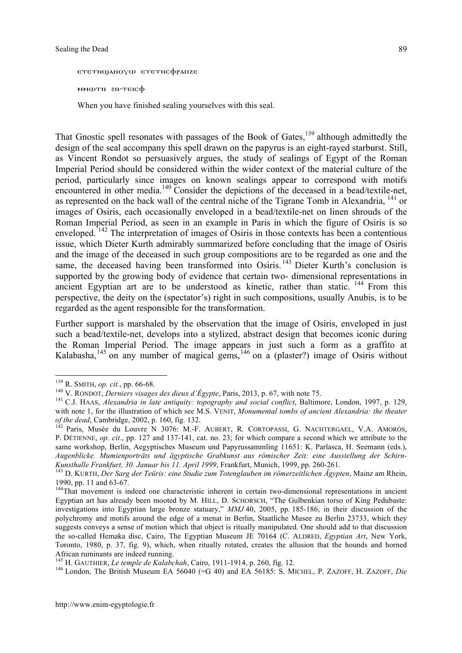ετετηφλησγω ετετης φρληχε MMWTN 2N-TEICO

When you have finished sealing yourselves with this seal.

That Gnostic spell resonates with passages of the Book of Gates, $139$  although admittedly the design of the seal accompany this spell drawn on the papyrus is an eight-rayed starburst. Still, as Vincent Rondot so persuasively argues, the study of sealings of Egypt of the Roman Imperial Period should be considered within the wider context of the material culture of the period, particularly since images on known sealings appear to correspond with motifs encountered in other media.<sup>140</sup> Consider the depictions of the deceased in a bead/textile-net, as represented on the back wall of the central niche of the Tigrane Tomb in Alexandria,  $^{141}$  or images of Osiris, each occasionally enveloped in a bead/textile-net on linen shrouds of the Roman Imperial Period, as seen in an example in Paris in which the figure of Osiris is so enveloped.<sup>142</sup> The interpretation of images of Osiris in those contexts has been a contentious issue, which Dieter Kurth admirably summarized before concluding that the image of Osiris and the image of the deceased in such group compositions are to be regarded as one and the same, the deceased having been transformed into Osiris.<sup>143</sup> Dieter Kurth's conclusion is supported by the growing body of evidence that certain two- dimensional representations in ancient Egyptian art are to be understood as kinetic, rather than static,  $144$  From this perspective, the deity on the (spectator's) right in such compositions, usually Anubis, is to be regarded as the agent responsible for the transformation.

Further support is marshaled by the observation that the image of Osiris, enveloped in just such a bead/textile-net, develops into a stylized, abstract design that becomes iconic during the Roman Imperial Period. The image appears in just such a form as a graffito at Kalabasha,<sup>145</sup> on any number of magical gems,<sup>146</sup> on a (plaster?) image of Osiris without

<sup>&</sup>lt;sup>139</sup> R. SMITH, *op. cit.*, pp. 66-68.<br><sup>140</sup> V. RONDOT, *Derniers visages des dieux d'Égypte*, Paris, 2013, p. 67, with note 75.<br><sup>141</sup> C.J. HAAS, *Alexandria in late antiquity: topography and social conflict*, Baltimore, with note 1, for the illustration of which see M.S. VENIT, *Monumental tombs of ancient Alexandria: the theater of the dead*, Cambridge, 2002, p. 160, fig. 132.

*of the dead*, Cambridge, 2002, p. 160, fig. 132. <sup>142</sup> Paris, Musée du Louvre <sup>N</sup> 3076: M.-F. AUBERT, R. CORTOPASSI, G. NACHTERGAEL, V.A. AMORÓS, P. DÉTIENNE, *op. cit.*, pp. 127 and 137-141, cat. no. 23; for which compare a second which we attribute to the same workshop, Berlin, Aegyptisches Museum und Papyrussammling 11651: K. Parlasca, H. Seemann (eds.), *Augenblicke. Mumienporträts und ägyptische Grabkunst aus römischer Zeit: eine Ausstellung der Schirn-*Kunsthalle Frankfurt, 30. Januar bis 11. April 1999, Frankfurt, Munich, 1999, pp. 260-261.<br><sup>143</sup> D. KURTH, *Der Sarg der Teüris: eine Studie zum Totenglauben im römerzeitlichen Ägypten*, Mainz am Rhein,

<sup>1990,</sup> pp. <sup>11</sup> and 63-67. 144That movement is indeed one characteristic inherent in certain two-dimensional representations in ancient

Egyptian art has already been mooted by M. HILL, D. SCHORSCH, "The Gulbenkian torso of King Pedubaste: investigations into Egyptian large bronze statuary," *MMJ* 40, 2005, pp. 185-186, in their discussion of the polychromy and motifs around the edge of a menat in Berlin, Staatliche Musee zu Berlin 23733, which they suggests conveys a sense of motion which that object is ritually manipulated. One should add to that discussion the so-called Hemaka disc, Cairo, The Egyptian Museum JE 70164 (C. ALDRED, *Egyptian Art*, New York, Toronto, 1980, p. 37, fig. 9), which, when ritually rotated, creates the allusion that the hounds and horned African ruminants are indeed running.<br><sup>145</sup> H. GAUTHIER, *Le temple de Kalabchah*, Cairo, 1911-1914, p. 260, fig. 12.<br><sup>146</sup> London. The British Museum EA 56040 (=G 40) and EA 56185: S. MICHEL, P. ZAZOFF, H. ZAZOFF, *Die*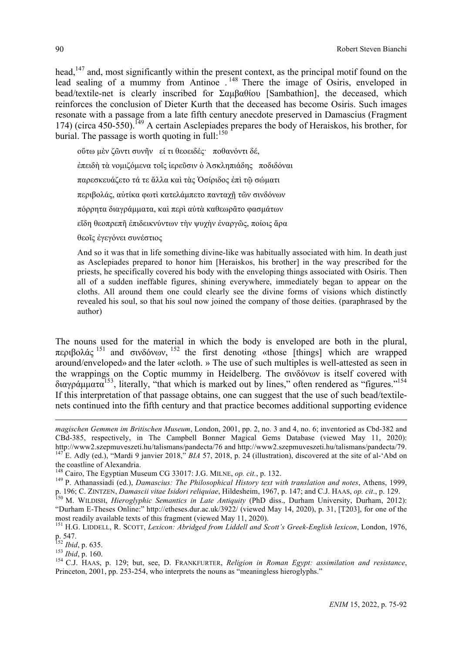head,<sup>147</sup> and, most significantly within the present context, as the principal motif found on the lead sealing of a mummy from Antinoe .<sup>148</sup> There the image of Osiris, enveloped in bead/textile-net is clearly inscribed for Σαµβαθίου [Sambathion], the deceased, which reinforces the conclusion of Dieter Kurth that the deceased has become Osiris. Such images resonate with a passage from a late fifth century anecdote preserved in Damascius (Fragment 174) (circa 450-550).<sup>149</sup> A certain Asclepiades prepares the body of Heraiskos, his brother, for burial. The passage is worth quoting in full:<sup>150</sup>

οὕτω µὲν ζῶντι συνῆν εί τι θεοειδές· ποθανόντι δέ, ἐπειδὴ τὰ νοµιζόµενα τοῖς ἱερεῦσιν ὁ Ἀσκληπιάδης ποδιδόναι παρεσκευάζετο τά τε ἄλλα καὶ τὰς Ὀσίριδος ἐπὶ τῷ σώµατι περιβολάς, αὐτίκα φωτὶ κατελάμπετο πανταγῆ τῶν σινδόνων πόρρητα διαγράµµατα, καὶ περὶ αὐτὰ καθεωρᾶτο φασµάτων εἴδη θεοπρεπῆ ἐπιδεικνύντων τὴν ψυχὴν ἐναργῶς, ποίοις ἄρα θεοῖς ἐγεγόνει συνέστιος

And so it was that in life something divine-like was habitually associated with him. In death just as Asclepiades prepared to honor him [Heraiskos, his brother] in the way prescribed for the priests, he specifically covered his body with the enveloping things associated with Osiris. Then all of a sudden ineffable figures, shining everywhere, immediately began to appear on the cloths. All around them one could clearly see the divine forms of visions which distinctly revealed his soul, so that his soul now joined the company of those deities. (paraphrased by the author)

The nouns used for the material in which the body is enveloped are both in the plural, περιβολάς <sup>151</sup> and σινδόνων, <sup>152</sup> the first denoting «those [things] which are wrapped around/enveloped» and the later «cloth. » The use of such multiples is well-attested as seen in the wrappings on the Coptic mummy in Heidelberg. The σινδόνων is itself covered with διαγράμματα<sup>153</sup>, literally, "that which is marked out by lines," often rendered as "figures."<sup>154</sup> If this interpretation of that passage obtains, one can suggest that the use of such bead/textilenets continued into the fifth century and that practice becomes additional supporting evidence

 $\overline{a}$ 

*magischen Gemmen im Britischen Museum*, London, 2001, pp. 2, no. 3 and 4, no. 6; inventoried as Cbd-382 and CBd-385, respectively, in The Campbell Bonner Magical Gems Database (viewed May 11, 2020): <sup>147</sup>E. Adly (ed.), "Mardi 9 janvier 2018," *BIA* 57, 2018, p. 24 (illustration), discovered at the site of al-'Abd on the coastline of Alexandria.

<sup>&</sup>lt;sup>148</sup> Cairo, The Egyptian Museum CG 33017: J.G. MILNE, op. cit., p. 132.<br><sup>149</sup> P. Athanassiadi (ed.), *Damascius: The Philosophical History text with translation and notes*, Athens, 1999, p. 196; C. ZINTZEN, Damascii vitae Isidori reliquiae, Hildesheim, 1967, p. 147; and C.J. HAAS, op. cit., p. 129.<br><sup>150</sup> M. WILDISH, *Hieroglyphic Semantics in Late Antiquity* (PhD diss., Durham University, Durham, 2012):

<sup>&</sup>quot;Durham E-Theses Online:" http://etheses.dur.ac.uk/3922/ (viewed May 14, 2020), p. 31, [T203], for one of the

most readily available texts of this fragment (viewed May 11, 2020).<br>
<sup>151</sup> H.G. LIDDELL, R. SCOTT, *Lexicon: Abridged from Liddell and Scott's Greek-English lexicon*, London, 1976,<br>
<sup>152</sup> *Ibid*, p. 635.

p. 547. <sup>152</sup> *Ibid*, p. 635. <sup>153</sup> *Ibid*, p. 160. <sup>154</sup> C.J. HAAS, p. 129; but, see, D. FRANKFURTER, *Religion in Roman Egypt: assimilation and resistance*, Princeton, 2001, pp. 253-254, who interprets the nouns as "meaningless hieroglyphs."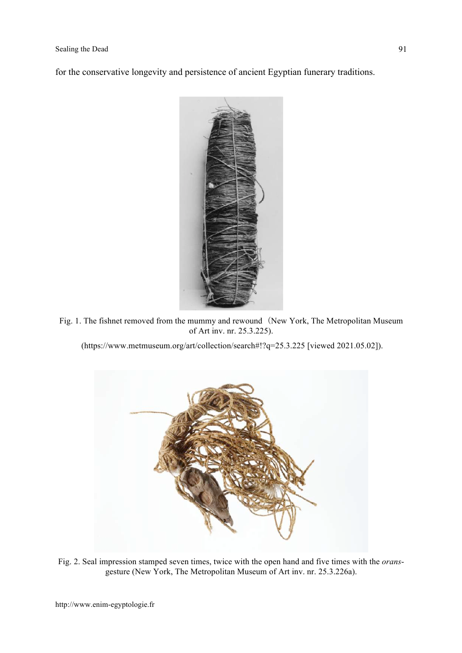for the conservative longevity and persistence of ancient Egyptian funerary traditions.



Fig. 1. The fishnet removed from the mummy and rewound (New York, The Metropolitan Museum of Art inv. nr. 25.3.225).

(https://www.metmuseum.org/art/collection/search#!?q=25.3.225 [viewed 2021.05.02]).



Fig. 2. Seal impression stamped seven times, twice with the open hand and five times with the *orans*gesture (New York, The Metropolitan Museum of Art inv. nr. 25.3.226a).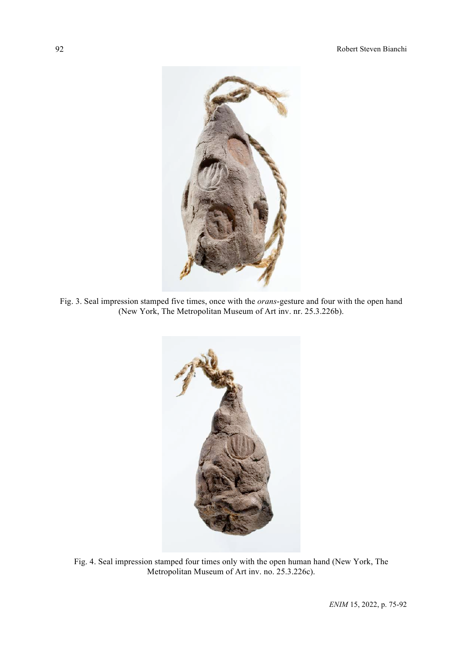

Fig. 3. Seal impression stamped five times, once with the *orans*-gesture and four with the open hand (New York, The Metropolitan Museum of Art inv. nr. 25.3.226b).



Fig. 4. Seal impression stamped four times only with the open human hand (New York, The Metropolitan Museum of Art inv. no. 25.3.226c).